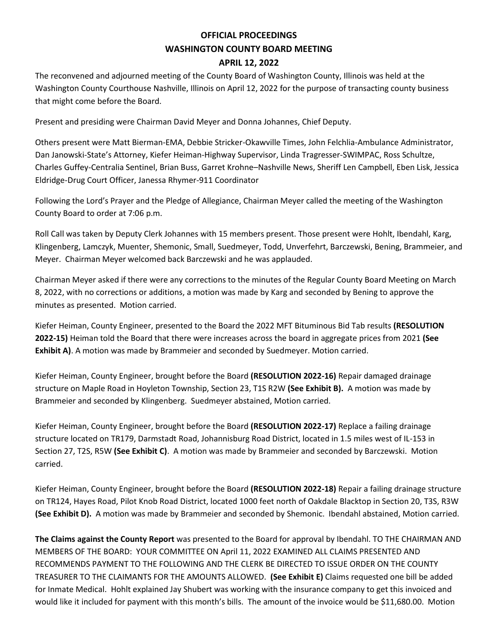## **OFFICIAL PROCEEDINGS WASHINGTON COUNTY BOARD MEETING APRIL 12, 2022**

The reconvened and adjourned meeting of the County Board of Washington County, Illinois was held at the Washington County Courthouse Nashville, Illinois on April 12, 2022 for the purpose of transacting county business that might come before the Board.

Present and presiding were Chairman David Meyer and Donna Johannes, Chief Deputy.

Others present were Matt Bierman-EMA, Debbie Stricker-Okawville Times, John Felchlia-Ambulance Administrator, Dan Janowski-State's Attorney, Kiefer Heiman-Highway Supervisor, Linda Tragresser-SWIMPAC, Ross Schultze, Charles Guffey-Centralia Sentinel, Brian Buss, Garret Krohne–Nashville News, Sheriff Len Campbell, Eben Lisk, Jessica Eldridge-Drug Court Officer, Janessa Rhymer-911 Coordinator

Following the Lord's Prayer and the Pledge of Allegiance, Chairman Meyer called the meeting of the Washington County Board to order at 7:06 p.m.

Roll Call was taken by Deputy Clerk Johannes with 15 members present. Those present were Hohlt, Ibendahl, Karg, Klingenberg, Lamczyk, Muenter, Shemonic, Small, Suedmeyer, Todd, Unverfehrt, Barczewski, Bening, Brammeier, and Meyer. Chairman Meyer welcomed back Barczewski and he was applauded.

Chairman Meyer asked if there were any corrections to the minutes of the Regular County Board Meeting on March 8, 2022, with no corrections or additions, a motion was made by Karg and seconded by Bening to approve the minutes as presented. Motion carried.

Kiefer Heiman, County Engineer, presented to the Board the 2022 MFT Bituminous Bid Tab results **(RESOLUTION 2022-15)** Heiman told the Board that there were increases across the board in aggregate prices from 2021 **(See Exhibit A)**. A motion was made by Brammeier and seconded by Suedmeyer. Motion carried.

Kiefer Heiman, County Engineer, brought before the Board **(RESOLUTION 2022-16)** Repair damaged drainage structure on Maple Road in Hoyleton Township, Section 23, T1S R2W **(See Exhibit B).** A motion was made by Brammeier and seconded by Klingenberg. Suedmeyer abstained, Motion carried.

Kiefer Heiman, County Engineer, brought before the Board **(RESOLUTION 2022-17)** Replace a failing drainage structure located on TR179, Darmstadt Road, Johannisburg Road District, located in 1.5 miles west of IL-153 in Section 27, T2S, R5W **(See Exhibit C)**. A motion was made by Brammeier and seconded by Barczewski. Motion carried.

Kiefer Heiman, County Engineer, brought before the Board **(RESOLUTION 2022-18)** Repair a failing drainage structure on TR124, Hayes Road, Pilot Knob Road District, located 1000 feet north of Oakdale Blacktop in Section 20, T3S, R3W **(See Exhibit D).** A motion was made by Brammeier and seconded by Shemonic. Ibendahl abstained, Motion carried.

**The Claims against the County Report** was presented to the Board for approval by Ibendahl. TO THE CHAIRMAN AND MEMBERS OF THE BOARD: YOUR COMMITTEE ON April 11, 2022 EXAMINED ALL CLAIMS PRESENTED AND RECOMMENDS PAYMENT TO THE FOLLOWING AND THE CLERK BE DIRECTED TO ISSUE ORDER ON THE COUNTY TREASURER TO THE CLAIMANTS FOR THE AMOUNTS ALLOWED. **(See Exhibit E)** Claims requested one bill be added for Inmate Medical. Hohlt explained Jay Shubert was working with the insurance company to get this invoiced and would like it included for payment with this month's bills. The amount of the invoice would be \$11,680.00. Motion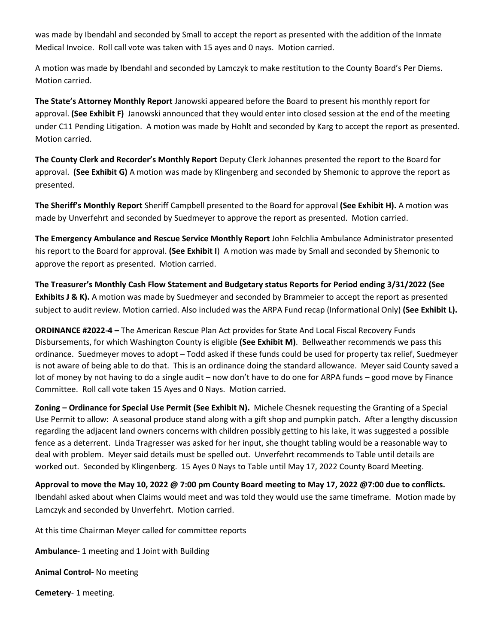was made by Ibendahl and seconded by Small to accept the report as presented with the addition of the Inmate Medical Invoice. Roll call vote was taken with 15 ayes and 0 nays. Motion carried.

A motion was made by Ibendahl and seconded by Lamczyk to make restitution to the County Board's Per Diems. Motion carried.

**The State's Attorney Monthly Report** Janowski appeared before the Board to present his monthly report for approval. **(See Exhibit F)** Janowski announced that they would enter into closed session at the end of the meeting under C11 Pending Litigation. A motion was made by Hohlt and seconded by Karg to accept the report as presented. Motion carried.

**The County Clerk and Recorder's Monthly Report** Deputy Clerk Johannes presented the report to the Board for approval. **(See Exhibit G)** A motion was made by Klingenberg and seconded by Shemonic to approve the report as presented.

**The Sheriff's Monthly Report** Sheriff Campbell presented to the Board for approval **(See Exhibit H).** A motion was made by Unverfehrt and seconded by Suedmeyer to approve the report as presented. Motion carried.

**The Emergency Ambulance and Rescue Service Monthly Report** John Felchlia Ambulance Administrator presented his report to the Board for approval. **(See Exhibit I**) A motion was made by Small and seconded by Shemonic to approve the report as presented. Motion carried.

**The Treasurer's Monthly Cash Flow Statement and Budgetary status Reports for Period ending 3/31/2022 (See Exhibits J & K).** A motion was made by Suedmeyer and seconded by Brammeier to accept the report as presented subject to audit review. Motion carried. Also included was the ARPA Fund recap (Informational Only) **(See Exhibit L).**

**ORDINANCE #2022-4 –** The American Rescue Plan Act provides for State And Local Fiscal Recovery Funds Disbursements, for which Washington County is eligible **(See Exhibit M)**. Bellweather recommends we pass this ordinance. Suedmeyer moves to adopt – Todd asked if these funds could be used for property tax relief, Suedmeyer is not aware of being able to do that. This is an ordinance doing the standard allowance. Meyer said County saved a lot of money by not having to do a single audit – now don't have to do one for ARPA funds – good move by Finance Committee. Roll call vote taken 15 Ayes and 0 Nays. Motion carried.

**Zoning – Ordinance for Special Use Permit (See Exhibit N).** Michele Chesnek requesting the Granting of a Special Use Permit to allow: A seasonal produce stand along with a gift shop and pumpkin patch. After a lengthy discussion regarding the adjacent land owners concerns with children possibly getting to his lake, it was suggested a possible fence as a deterrent. Linda Tragresser was asked for her input, she thought tabling would be a reasonable way to deal with problem. Meyer said details must be spelled out. Unverfehrt recommends to Table until details are worked out. Seconded by Klingenberg. 15 Ayes 0 Nays to Table until May 17, 2022 County Board Meeting.

**Approval to move the May 10, 2022 @ 7:00 pm County Board meeting to May 17, 2022 @7:00 due to conflicts.**  Ibendahl asked about when Claims would meet and was told they would use the same timeframe. Motion made by Lamczyk and seconded by Unverfehrt. Motion carried.

At this time Chairman Meyer called for committee reports

**Ambulance**- 1 meeting and 1 Joint with Building

**Animal Control-** No meeting

**Cemetery**- 1 meeting.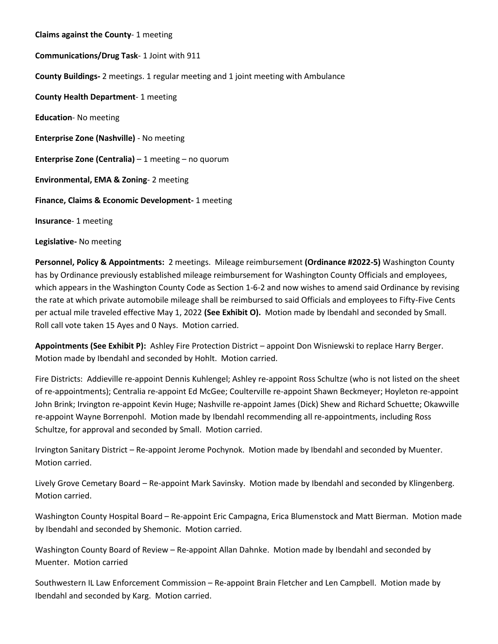**Claims against the County**- 1 meeting **Communications/Drug Task**- 1 Joint with 911 **County Buildings-** 2 meetings. 1 regular meeting and 1 joint meeting with Ambulance **County Health Department**- 1 meeting **Education**- No meeting **Enterprise Zone (Nashville)** - No meeting **Enterprise Zone (Centralia)** – 1 meeting – no quorum **Environmental, EMA & Zoning**- 2 meeting **Finance, Claims & Economic Development-** 1 meeting **Insurance**- 1 meeting

**Legislative-** No meeting

**Personnel, Policy & Appointments:** 2 meetings. Mileage reimbursement **(Ordinance #2022-5)** Washington County has by Ordinance previously established mileage reimbursement for Washington County Officials and employees, which appears in the Washington County Code as Section 1-6-2 and now wishes to amend said Ordinance by revising the rate at which private automobile mileage shall be reimbursed to said Officials and employees to Fifty-Five Cents per actual mile traveled effective May 1, 2022 **(See Exhibit O).** Motion made by Ibendahl and seconded by Small. Roll call vote taken 15 Ayes and 0 Nays. Motion carried.

**Appointments (See Exhibit P):** Ashley Fire Protection District – appoint Don Wisniewski to replace Harry Berger. Motion made by Ibendahl and seconded by Hohlt. Motion carried.

Fire Districts: Addieville re-appoint Dennis Kuhlengel; Ashley re-appoint Ross Schultze (who is not listed on the sheet of re-appointments); Centralia re-appoint Ed McGee; Coulterville re-appoint Shawn Beckmeyer; Hoyleton re-appoint John Brink; Irvington re-appoint Kevin Huge; Nashville re-appoint James (Dick) Shew and Richard Schuette; Okawville re-appoint Wayne Borrenpohl. Motion made by Ibendahl recommending all re-appointments, including Ross Schultze, for approval and seconded by Small. Motion carried.

Irvington Sanitary District – Re-appoint Jerome Pochynok. Motion made by Ibendahl and seconded by Muenter. Motion carried.

Lively Grove Cemetary Board – Re-appoint Mark Savinsky. Motion made by Ibendahl and seconded by Klingenberg. Motion carried.

Washington County Hospital Board – Re-appoint Eric Campagna, Erica Blumenstock and Matt Bierman. Motion made by Ibendahl and seconded by Shemonic. Motion carried.

Washington County Board of Review – Re-appoint Allan Dahnke. Motion made by Ibendahl and seconded by Muenter. Motion carried

Southwestern IL Law Enforcement Commission – Re-appoint Brain Fletcher and Len Campbell. Motion made by Ibendahl and seconded by Karg. Motion carried.